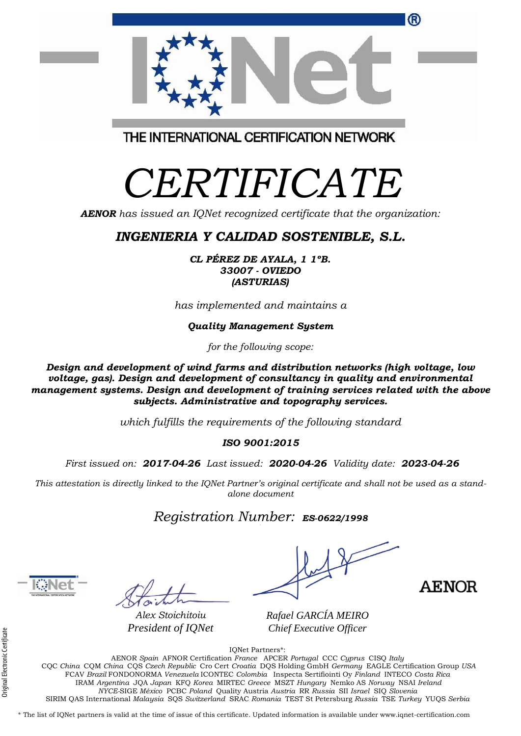|                                        |                                                                                                                                                                                                                           | AENO |
|----------------------------------------|---------------------------------------------------------------------------------------------------------------------------------------------------------------------------------------------------------------------------|------|
| Alex Stoichitoiu<br>President of IQNet | Rafael GARCÍA MEIRO<br>Chief Executive Officer                                                                                                                                                                            |      |
|                                        | <b>IONet Partners*:</b><br>AENOR Spain AFNOR Certification France APCER Portugal CCC Cyprus CISO Italy<br>COO China COM China COO Crash Depublic Can Capt Caratia DOO Halding CarbH Cannana: FACHE Captification Correr H |      |

CQC *China* CQM *China* CQS *Czech Republic* Cro Cert *Croatia* DQS Holding GmbH *Germany* EAGLE Certification Group *USA* FCAV *Brazil* FONDONORMA *Venezuela* ICONTEC *Colombia* Inspecta Sertifiointi Oy *Finland* INTECO *Costa Rica* IRAM *Argentina* JQA *Japan* KFQ *Korea* MIRTEC *Greece* MSZT *Hungary* Nemko AS *Norway* NSAI *Ireland NYCE-*SIGE *México* PCBC *Poland* Quality Austria *Austria* RR *Russia* SII *Israel* SIQ *Slovenia*  SIRIM QAS International *Malaysia* SQS *Switzerland* SRAC *Romania* TEST St Petersburg *Russia* TSE *Turkey* YUQS *Serbia*

\* The list of IQNet partners is valid at the time of issue of this certificate. Updated information is available under www.iqnet-certification.com

THE INTERNATIONAL CERTIFICATION NETWORK

# *CERTIFICATE*

*AENOR has issued an IQNet recognized certificate that the organization:*

## *INGENIERIA Y CALIDAD SOSTENIBLE, S.L.*

*CL PÉREZ DE AYALA, 1 1ºB. 33007 - OVIEDO (ASTURIAS)*

*has implemented and maintains a*

*Quality Management System*

*for the following scope:* 

*Design and development of wind farms and distribution networks (high voltage, low voltage, gas). Design and development of consultancy in quality and environmental management systems. Design and development of training services related with the above subjects. Administrative and topography services.*

*which fulfills the requirements of the following standard*

#### *ISO 9001:2015*

*First issued on: 2017-04-26 Last issued: 2020-04-26 Validity date: 2023-04-26*

This attestation is directly linked to the IQNet Partner's original certificate and shall not be used as a stand*alone document*

### *Registration Number: ES-0622/1998*

 $1018$ 



(R)